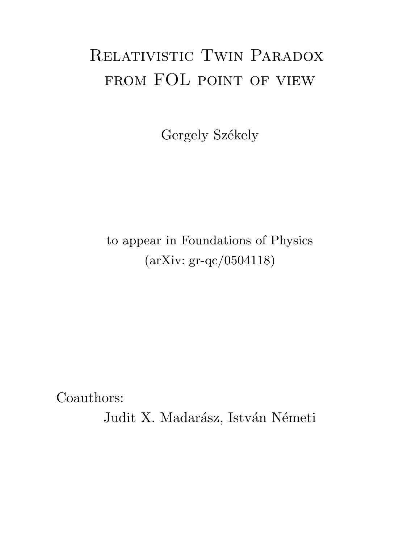# Relativistic Twin Paradox FROM FOL POINT OF VIEW

Gergely Székely

### to appear in Foundations of Physics (arXiv: gr-qc/0504118)

Coauthors:

Judit X. Madarász, István Németi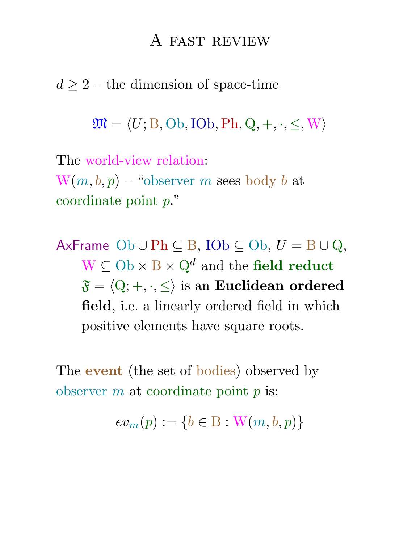#### A fast review

 $d \geq 2$  – the dimension of space-time

 $\mathfrak{M} = \langle U; \mathbf{B}, \mathbf{Ob}, \mathbf{IOb}, \mathbf{Ph}, \mathbf{Q}, +, \cdot, \leq, \mathbf{W} \rangle$ 

The world-view relation:  $W(m, b, p)$  – "observer m sees body b at coordinate point p."

AxFrame Ob  $\cup$  Ph  $\subseteq$  B, IOb  $\subseteq$  Ob,  $U = B \cup Q$ ,  $W \subseteq Ob \times B \times Q^d$  and the field reduct  $\mathfrak{F} = \langle Q; +, \cdot, \leq \rangle$  is an Euclidean ordered field, i.e. a linearly ordered field in which positive elements have square roots.

The **event** (the set of bodies) observed by observer  $m$  at coordinate point  $p$  is:

 $ev_m(p) := \{b \in B : W(m, b, p)\}\$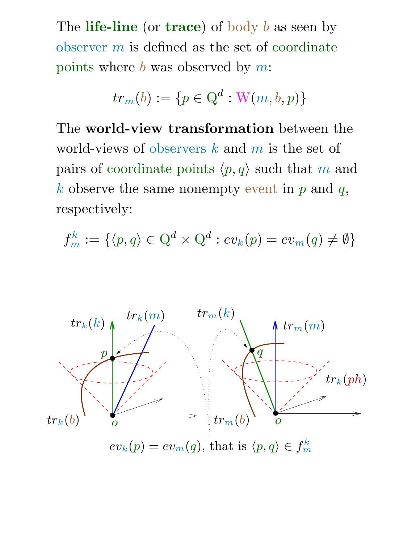The life-line (or trace) of body  $b$  as seen by observer  $m$  is defined as the set of coordinate points where  $b$  was observed by m:

$$
tr_m(b) := \{ p \in \mathbf{Q}^d : \mathbf{W}(m, b, p) \}
$$

The world-view transformation between the world-views of observers  $k$  and  $m$  is the set of pairs of coordinate points  $\langle p, q \rangle$  such that m and k observe the same nonempty event in  $p$  and  $q$ ,  $lacements$  respectively:

$$
f_m^k := \{ \langle p, q \rangle \in \mathbb{Q}^d \times \mathbb{Q}^d : ev_k(p) = ev_m(q) \neq \emptyset \}
$$

$$
tr_m(ph)
$$

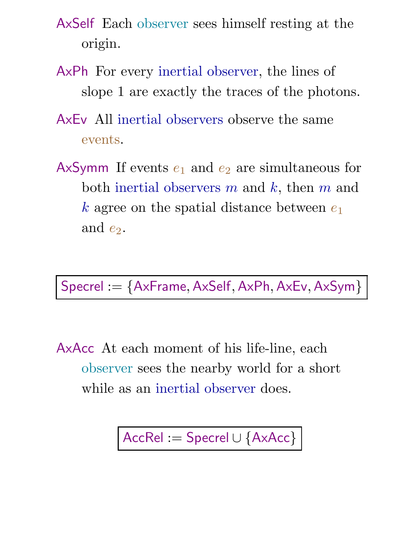- AxSelf Each observer sees himself resting at the origin.
- AxPh For every inertial observer, the lines of slope 1 are exactly the traces of the photons.
- AxEv All inertial observers observe the same events.
- AxSymm If events  $e_1$  and  $e_2$  are simultaneous for both inertial observers  $m$  and  $k$ , then  $m$  and k agree on the spatial distance between  $e_1$ and  $e_2$ .

Specrel := {AxFrame, AxSelf, AxPh, AxEv, AxSym} |

AxAcc At each moment of his life-line, each observer sees the nearby world for a short while as an inertial observer does.

AccRel := Specrel ∪ {AxAcc}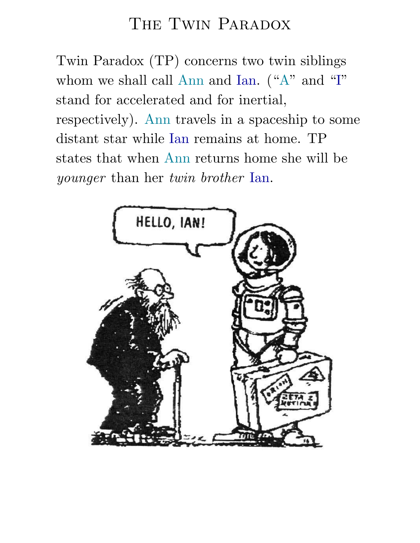## THE TWIN PARADOX

Twin Paradox (TP) concerns two twin siblings whom we shall call Ann and Ian. ("A" and "I" stand for accelerated and for inertial, respectively). Ann travels in a spaceship to some distant star while Ian remains at home. TP states that when Ann returns home she will be younger than her twin brother Ian.

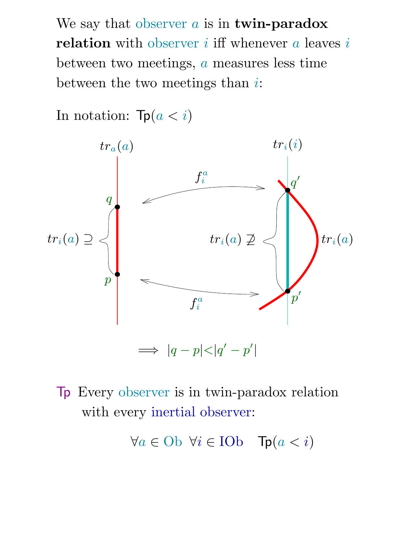We say that observer  $a$  is in twin-paradox relation with observer  $i$  iff whenever  $a$  leaves  $i$ between two meetings, a measures less time between the two meetings than  $i$ :



In notation:  $\text{Tr}(a < i)$ 



∀a ∈ Ob ∀i ∈ IOb Tp(a < i)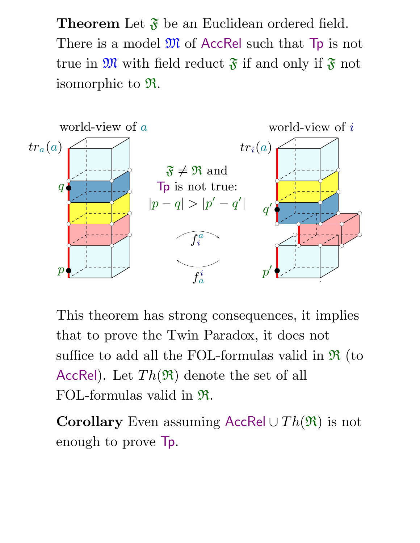**Theorem** Let  $\mathfrak{F}$  be an Euclidean ordered field. There is a model  $\mathfrak{M}$  of AccRel such that  $\mathsf{Tp}$  is not true in  $\mathfrak{M}$  with field reduct  $\mathfrak{F}$  if and only if  $\mathfrak{F}$  not isomorphic to R.



This theorem has strong consequences, it implies that to prove the Twin Paradox, it does not suffice to add all the FOL-formulas valid in  $\Re$  (to AccRel). Let  $Th(\mathfrak{R})$  denote the set of all FOL-formulas valid in R.

Corollary Even assuming AccRel  $\cup Th(\mathfrak{R})$  is not enough to prove Tp.